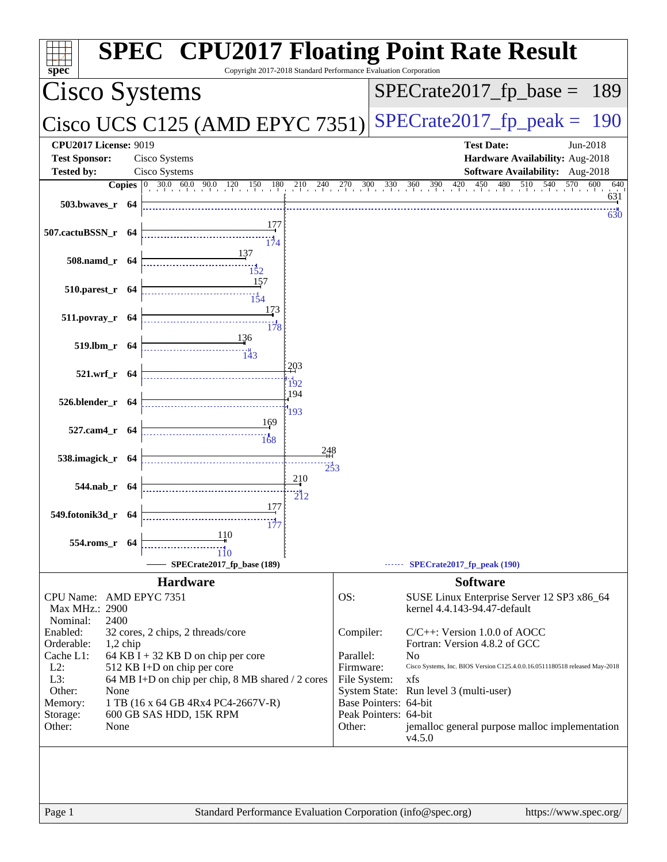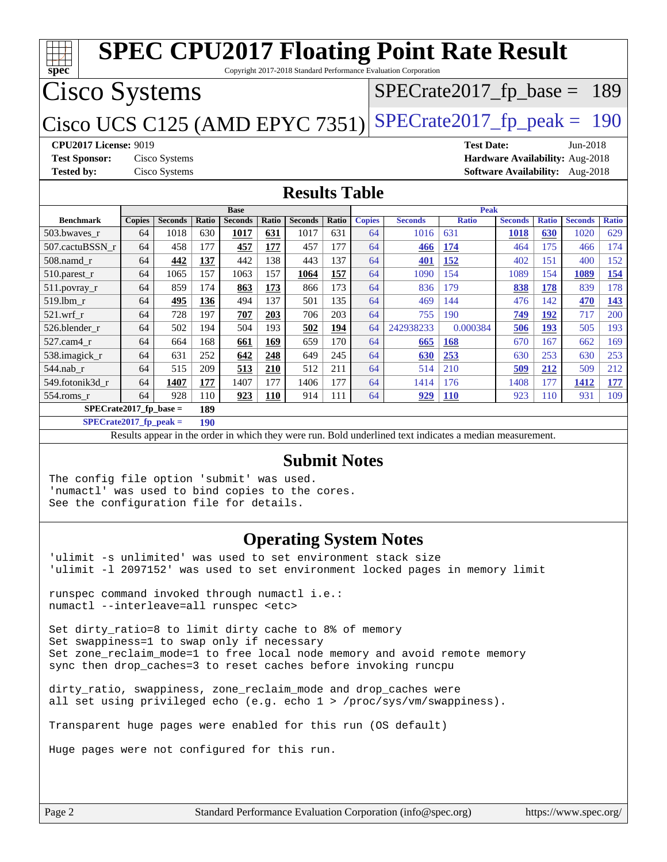| <b>SPEC CPU2017 Floating Point Rate Result</b>                                                           |                                                          |                |       |                               |            |                |       |               |                |                      |                |              |                                        |              |
|----------------------------------------------------------------------------------------------------------|----------------------------------------------------------|----------------|-------|-------------------------------|------------|----------------|-------|---------------|----------------|----------------------|----------------|--------------|----------------------------------------|--------------|
| spec<br>Copyright 2017-2018 Standard Performance Evaluation Corporation                                  |                                                          |                |       |                               |            |                |       |               |                |                      |                |              |                                        |              |
|                                                                                                          | <b>Cisco Systems</b><br>$SPECrate2017_fp\_base =$<br>189 |                |       |                               |            |                |       |               |                |                      |                |              |                                        |              |
| $SPECTate2017$ _fp_peak = 190<br>Cisco UCS C125 (AMD EPYC 7351)                                          |                                                          |                |       |                               |            |                |       |               |                |                      |                |              |                                        |              |
| <b>CPU2017 License: 9019</b><br><b>Test Date:</b><br>$Jun-2018$                                          |                                                          |                |       |                               |            |                |       |               |                |                      |                |              |                                        |              |
| <b>Test Sponsor:</b>                                                                                     |                                                          | Cisco Systems  |       |                               |            |                |       |               |                |                      |                |              | Hardware Availability: Aug-2018        |              |
| <b>Tested by:</b>                                                                                        |                                                          | Cisco Systems  |       |                               |            |                |       |               |                |                      |                |              | <b>Software Availability:</b> Aug-2018 |              |
| <b>Results Table</b>                                                                                     |                                                          |                |       |                               |            |                |       |               |                |                      |                |              |                                        |              |
| <b>Benchmark</b>                                                                                         | <b>Copies</b>                                            | <b>Seconds</b> | Ratio | <b>Base</b><br><b>Seconds</b> | Ratio      | <b>Seconds</b> | Ratio | <b>Copies</b> | <b>Seconds</b> | Peak<br><b>Ratio</b> | <b>Seconds</b> | <b>Ratio</b> | <b>Seconds</b>                         | <b>Ratio</b> |
| 503.bwaves r                                                                                             | 64                                                       | 1018           | 630   | 1017                          | 631        | 1017           | 631   | 64            | 1016           | 631                  | 1018           | 630          | 1020                                   | 629          |
| 507.cactuBSSN r                                                                                          | 64                                                       | 458            | 177   | 457                           | 177        | 457            | 177   | 64            | 466            | 174                  | 464            | 175          | 466                                    | 174          |
| $508$ .namd $r$                                                                                          | 64                                                       | 442            | 137   | 442                           | 138        | 443            | 137   | 64            | 401            | 152                  | 402            | 151          | 400                                    | 152          |
| 510.parest_r                                                                                             | 64                                                       | 1065           | 157   | 1063                          | 157        | 1064           | 157   | 64            | 1090           | 154                  | 1089           | 154          | 1089                                   | 154          |
| $511.$ povray_r                                                                                          | 64                                                       | 859            | 174   | 863                           | 173        | 866            | 173   | 64            | 836            | 179                  | 838            | 178          | 839                                    | 178          |
| 519.1bm r                                                                                                | 64                                                       | 495            | 136   | 494                           | 137        | 501            | 135   | 64            | 469            | 144                  | 476            | 142          | 470                                    | 143          |
| $521$ .wrf r                                                                                             | 64                                                       | 728            | 197   | 707                           | 203        | 706            | 203   | 64            | 755            | 190                  | 749            | 192          | 717                                    | 200          |
| 526.blender_r                                                                                            | 64                                                       | 502            | 194   | 504                           | 193        | 502            | 194   | 64            | 242938233      | 0.000384             | 506            | 193          | 505                                    | 193          |
| 527.cam4 r                                                                                               | 64                                                       | 664            | 168   | 661                           | 169        | 659            | 170   | 64            | 665            | 168                  | 670            | 167          | 662                                    | 169          |
| 538.imagick r                                                                                            | 64                                                       | 631            | 252   | 642                           | 248        | 649            | 245   | 64            | 630            | 253                  | 630            | 253          | 630                                    | 253          |
| 544.nab r                                                                                                | 64                                                       | 515            | 209   | 513                           | 210        | 512            | 211   | 64            | 514            | 210                  | 509            | 212          | 509                                    | 212          |
| 549.fotonik3d r                                                                                          | 64                                                       | 1407           | 177   | 1407                          | 177        | 1406           | 177   | 64            | 1414           | 176                  | 1408           | 177          | 1412                                   | 177          |
| 554.roms r                                                                                               | 64                                                       | 928            | 110   | 923                           | <b>110</b> | 914            | 111   | 64            | 929            | <b>110</b>           | 923            | 110          | 931                                    | 109          |
| $SPECrate2017$ fp base =<br>189                                                                          |                                                          |                |       |                               |            |                |       |               |                |                      |                |              |                                        |              |
| $SPECrate2017$ fp peak =<br>190                                                                          |                                                          |                |       |                               |            |                |       |               |                |                      |                |              |                                        |              |
| Results appear in the order in which they were run. Bold underlined text indicates a median measurement. |                                                          |                |       |                               |            |                |       |               |                |                      |                |              |                                        |              |

### **[Submit Notes](http://www.spec.org/auto/cpu2017/Docs/result-fields.html#SubmitNotes)**

The config file option 'submit' was used. 'numactl' was used to bind copies to the cores. See the configuration file for details.

### **[Operating System Notes](http://www.spec.org/auto/cpu2017/Docs/result-fields.html#OperatingSystemNotes)**

'ulimit -s unlimited' was used to set environment stack size 'ulimit -l 2097152' was used to set environment locked pages in memory limit

runspec command invoked through numactl i.e.: numactl --interleave=all runspec <etc>

Set dirty\_ratio=8 to limit dirty cache to 8% of memory Set swappiness=1 to swap only if necessary Set zone\_reclaim\_mode=1 to free local node memory and avoid remote memory sync then drop\_caches=3 to reset caches before invoking runcpu

dirty\_ratio, swappiness, zone\_reclaim\_mode and drop\_caches were all set using privileged echo (e.g. echo 1 > /proc/sys/vm/swappiness).

Transparent huge pages were enabled for this run (OS default)

Huge pages were not configured for this run.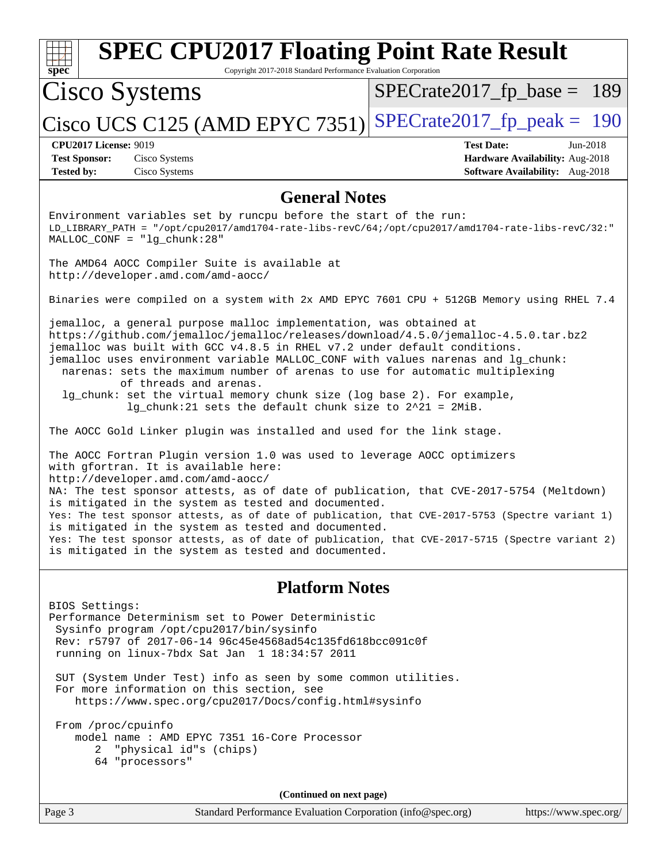| <b>SPEC CPU2017 Floating Point Rate Result</b><br>Copyright 2017-2018 Standard Performance Evaluation Corporation<br>spec                                                                                                                                                                                                                                                                                                                                                                                                                                                                                                                                                                                                                                                                                                                                                                                                                                                                                                                                                                                                                                                                                                                                                                                 |                                                                                                       |
|-----------------------------------------------------------------------------------------------------------------------------------------------------------------------------------------------------------------------------------------------------------------------------------------------------------------------------------------------------------------------------------------------------------------------------------------------------------------------------------------------------------------------------------------------------------------------------------------------------------------------------------------------------------------------------------------------------------------------------------------------------------------------------------------------------------------------------------------------------------------------------------------------------------------------------------------------------------------------------------------------------------------------------------------------------------------------------------------------------------------------------------------------------------------------------------------------------------------------------------------------------------------------------------------------------------|-------------------------------------------------------------------------------------------------------|
| Cisco Systems                                                                                                                                                                                                                                                                                                                                                                                                                                                                                                                                                                                                                                                                                                                                                                                                                                                                                                                                                                                                                                                                                                                                                                                                                                                                                             | $SPECrate2017_fp\_base = 189$                                                                         |
| Cisco UCS C125 (AMD EPYC 7351)                                                                                                                                                                                                                                                                                                                                                                                                                                                                                                                                                                                                                                                                                                                                                                                                                                                                                                                                                                                                                                                                                                                                                                                                                                                                            | $SPECrate2017_fp\_peak = 190$                                                                         |
| <b>CPU2017 License: 9019</b><br><b>Test Sponsor:</b><br>Cisco Systems<br>Cisco Systems<br><b>Tested by:</b>                                                                                                                                                                                                                                                                                                                                                                                                                                                                                                                                                                                                                                                                                                                                                                                                                                                                                                                                                                                                                                                                                                                                                                                               | <b>Test Date:</b><br>$Jun-2018$<br>Hardware Availability: Aug-2018<br>Software Availability: Aug-2018 |
| <b>General Notes</b>                                                                                                                                                                                                                                                                                                                                                                                                                                                                                                                                                                                                                                                                                                                                                                                                                                                                                                                                                                                                                                                                                                                                                                                                                                                                                      |                                                                                                       |
| Environment variables set by runcpu before the start of the run:<br>LD_LIBRARY_PATH = "/opt/cpu2017/amd1704-rate-libs-revC/64;/opt/cpu2017/amd1704-rate-libs-revC/32:"<br>$MALLOC\_CONF = "lg_chunk:28"$                                                                                                                                                                                                                                                                                                                                                                                                                                                                                                                                                                                                                                                                                                                                                                                                                                                                                                                                                                                                                                                                                                  |                                                                                                       |
| The AMD64 AOCC Compiler Suite is available at<br>http://developer.amd.com/amd-aocc/                                                                                                                                                                                                                                                                                                                                                                                                                                                                                                                                                                                                                                                                                                                                                                                                                                                                                                                                                                                                                                                                                                                                                                                                                       |                                                                                                       |
| Binaries were compiled on a system with 2x AMD EPYC 7601 CPU + 512GB Memory using RHEL 7.4                                                                                                                                                                                                                                                                                                                                                                                                                                                                                                                                                                                                                                                                                                                                                                                                                                                                                                                                                                                                                                                                                                                                                                                                                |                                                                                                       |
| jemalloc, a general purpose malloc implementation, was obtained at<br>https://github.com/jemalloc/jemalloc/releases/download/4.5.0/jemalloc-4.5.0.tar.bz2<br>jemalloc was built with GCC v4.8.5 in RHEL v7.2 under default conditions.<br>jemalloc uses environment variable MALLOC_CONF with values narenas and lg_chunk:<br>narenas: sets the maximum number of arenas to use for automatic multiplexing<br>of threads and arenas.<br>lg_chunk: set the virtual memory chunk size (log base 2). For example,<br>$lg_{\text{c}}$ chunk: 21 sets the default chunk size to $2^2$ 21 = 2MiB.<br>The AOCC Gold Linker plugin was installed and used for the link stage.<br>The AOCC Fortran Plugin version 1.0 was used to leverage AOCC optimizers<br>with gfortran. It is available here:<br>http://developer.amd.com/amd-aocc/<br>NA: The test sponsor attests, as of date of publication, that CVE-2017-5754 (Meltdown)<br>is mitigated in the system as tested and documented.<br>Yes: The test sponsor attests, as of date of publication, that CVE-2017-5753 (Spectre variant 1)<br>is mitigated in the system as tested and documented.<br>Yes: The test sponsor attests, as of date of publication, that CVE-2017-5715 (Spectre variant 2)<br>is mitigated in the system as tested and documented. |                                                                                                       |
| <b>Platform Notes</b>                                                                                                                                                                                                                                                                                                                                                                                                                                                                                                                                                                                                                                                                                                                                                                                                                                                                                                                                                                                                                                                                                                                                                                                                                                                                                     |                                                                                                       |
| BIOS Settings:<br>Performance Determinism set to Power Deterministic<br>Sysinfo program /opt/cpu2017/bin/sysinfo<br>Rev: r5797 of 2017-06-14 96c45e4568ad54c135fd618bcc091c0f<br>running on linux-7bdx Sat Jan 1 18:34:57 2011<br>SUT (System Under Test) info as seen by some common utilities.<br>For more information on this section, see<br>https://www.spec.org/cpu2017/Docs/config.html#sysinfo<br>From /proc/cpuinfo<br>model name: AMD EPYC 7351 16-Core Processor<br>"physical id"s (chips)<br>2<br>64 "processors"                                                                                                                                                                                                                                                                                                                                                                                                                                                                                                                                                                                                                                                                                                                                                                             |                                                                                                       |
| (Continued on next page)                                                                                                                                                                                                                                                                                                                                                                                                                                                                                                                                                                                                                                                                                                                                                                                                                                                                                                                                                                                                                                                                                                                                                                                                                                                                                  |                                                                                                       |
| Standard Performance Evaluation Corporation (info@spec.org)<br>Page 3                                                                                                                                                                                                                                                                                                                                                                                                                                                                                                                                                                                                                                                                                                                                                                                                                                                                                                                                                                                                                                                                                                                                                                                                                                     | https://www.spec.org/                                                                                 |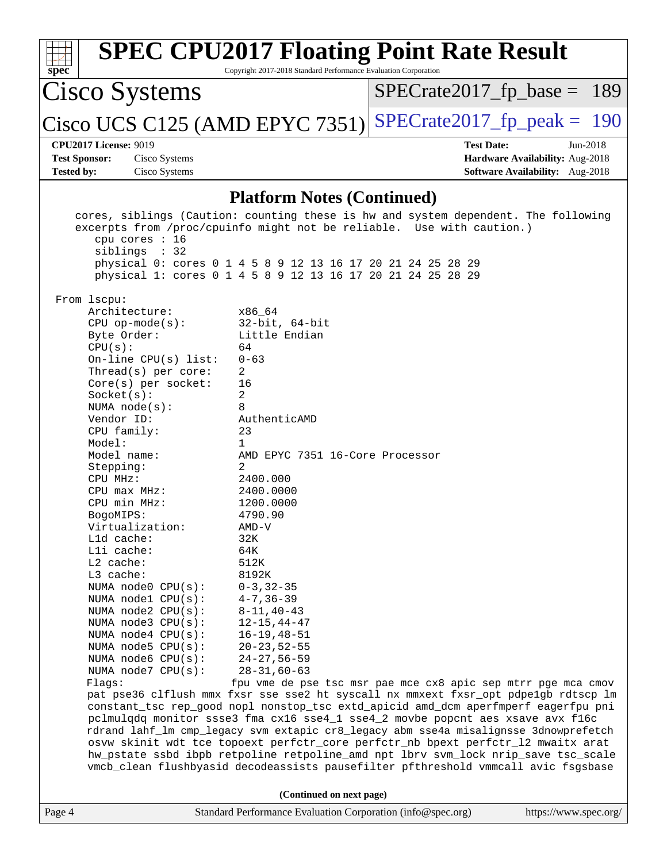| $spec^*$                                                                                                                                                                                                                                                                                                                                                                                                                                                                                                                                                                                                                                                                                                                                                                                                                                                                                                                                                                                                                                                                                                                                                                                                                                                                                                                                                                                                                                                                                                                                             | Copyright 2017-2018 Standard Performance Evaluation Corporation                                                                                                                                                                                                                                                                                                                                                              | <b>SPEC CPU2017 Floating Point Rate Result</b>                |                                                                                         |
|------------------------------------------------------------------------------------------------------------------------------------------------------------------------------------------------------------------------------------------------------------------------------------------------------------------------------------------------------------------------------------------------------------------------------------------------------------------------------------------------------------------------------------------------------------------------------------------------------------------------------------------------------------------------------------------------------------------------------------------------------------------------------------------------------------------------------------------------------------------------------------------------------------------------------------------------------------------------------------------------------------------------------------------------------------------------------------------------------------------------------------------------------------------------------------------------------------------------------------------------------------------------------------------------------------------------------------------------------------------------------------------------------------------------------------------------------------------------------------------------------------------------------------------------------|------------------------------------------------------------------------------------------------------------------------------------------------------------------------------------------------------------------------------------------------------------------------------------------------------------------------------------------------------------------------------------------------------------------------------|---------------------------------------------------------------|-----------------------------------------------------------------------------------------|
| Cisco Systems                                                                                                                                                                                                                                                                                                                                                                                                                                                                                                                                                                                                                                                                                                                                                                                                                                                                                                                                                                                                                                                                                                                                                                                                                                                                                                                                                                                                                                                                                                                                        |                                                                                                                                                                                                                                                                                                                                                                                                                              | $SPECrate2017_fp\_base = 189$                                 |                                                                                         |
| Cisco UCS C125 (AMD EPYC 7351)                                                                                                                                                                                                                                                                                                                                                                                                                                                                                                                                                                                                                                                                                                                                                                                                                                                                                                                                                                                                                                                                                                                                                                                                                                                                                                                                                                                                                                                                                                                       |                                                                                                                                                                                                                                                                                                                                                                                                                              | $SPECrate2017fp peak = 190$                                   |                                                                                         |
| <b>CPU2017 License: 9019</b><br><b>Test Sponsor:</b><br>Cisco Systems<br><b>Tested by:</b><br>Cisco Systems                                                                                                                                                                                                                                                                                                                                                                                                                                                                                                                                                                                                                                                                                                                                                                                                                                                                                                                                                                                                                                                                                                                                                                                                                                                                                                                                                                                                                                          |                                                                                                                                                                                                                                                                                                                                                                                                                              | <b>Test Date:</b>                                             | $Jun-2018$<br>Hardware Availability: Aug-2018<br><b>Software Availability:</b> Aug-2018 |
|                                                                                                                                                                                                                                                                                                                                                                                                                                                                                                                                                                                                                                                                                                                                                                                                                                                                                                                                                                                                                                                                                                                                                                                                                                                                                                                                                                                                                                                                                                                                                      | <b>Platform Notes (Continued)</b>                                                                                                                                                                                                                                                                                                                                                                                            |                                                               |                                                                                         |
| cores, siblings (Caution: counting these is hw and system dependent. The following<br>excerpts from /proc/cpuinfo might not be reliable. Use with caution.)<br>cpu cores : 16<br>siblings : 32<br>physical 0: cores 0 1 4 5 8 9 12 13 16 17 20 21 24 25 28 29<br>physical 1: cores 0 1 4 5 8 9 12 13 16 17 20 21 24 25 28 29<br>From lscpu:<br>Architecture:<br>$CPU$ op-mode( $s$ ):<br>Byte Order:<br>CPU(s):<br>On-line $CPU(s)$ list:<br>Thread(s) per core:<br>Core(s) per socket:<br>Socket(s):<br>NUMA $node(s)$ :<br>Vendor ID:<br>CPU family:<br>Model:<br>Model name:<br>Stepping:<br>CPU MHz:<br>$CPU$ max $MHz:$<br>CPU min MHz:<br>BogoMIPS:<br>Virtualization:<br>$L1d$ cache:<br>Lli cache:<br>L2 cache:<br>L3 cache:<br>NUMA node0 CPU(s):<br>NUMA nodel CPU(s):<br>NUMA node2 CPU(s):<br>NUMA node3 CPU(s):<br>NUMA node4 CPU(s):<br>NUMA node5 CPU(s):<br>NUMA node6 CPU(s):<br>NUMA node7 CPU(s):<br>Flagg:<br>pat pse36 clflush mmx fxsr sse sse2 ht syscall nx mmxext fxsr_opt pdpe1gb rdtscp lm<br>constant_tsc rep_good nopl nonstop_tsc extd_apicid amd_dcm aperfmperf eagerfpu pni<br>pclmulqdq monitor ssse3 fma cx16 sse4_1 sse4_2 movbe popcnt aes xsave avx f16c<br>rdrand lahf_lm cmp_legacy svm extapic cr8_legacy abm sse4a misalignsse 3dnowprefetch<br>osvw skinit wdt tce topoext perfctr_core perfctr_nb bpext perfctr_12 mwaitx arat<br>hw_pstate ssbd ibpb retpoline retpoline_amd npt lbrv svm_lock nrip_save tsc_scale<br>vmcb_clean flushbyasid decodeassists pausefilter pfthreshold vmmcall avic fsgsbase | x86 64<br>$32$ -bit, $64$ -bit<br>Little Endian<br>64<br>$0 - 63$<br>2<br>16<br>2<br>8<br>AuthenticAMD<br>23<br>1<br>AMD EPYC 7351 16-Core Processor<br>2<br>2400.000<br>2400.0000<br>1200.0000<br>4790.90<br>AMD-V<br>32K<br>64K<br>512K<br>8192K<br>$0 - 3, 32 - 35$<br>$4 - 7, 36 - 39$<br>$8 - 11, 40 - 43$<br>$12 - 15, 44 - 47$<br>$16 - 19, 48 - 51$<br>$20 - 23, 52 - 55$<br>$24 - 27, 56 - 59$<br>$28 - 31,60 - 63$ | fpu vme de pse tsc msr pae mce cx8 apic sep mtrr pge mca cmov |                                                                                         |
|                                                                                                                                                                                                                                                                                                                                                                                                                                                                                                                                                                                                                                                                                                                                                                                                                                                                                                                                                                                                                                                                                                                                                                                                                                                                                                                                                                                                                                                                                                                                                      | (Continued on next page)                                                                                                                                                                                                                                                                                                                                                                                                     |                                                               |                                                                                         |
| Page 4                                                                                                                                                                                                                                                                                                                                                                                                                                                                                                                                                                                                                                                                                                                                                                                                                                                                                                                                                                                                                                                                                                                                                                                                                                                                                                                                                                                                                                                                                                                                               | Standard Performance Evaluation Corporation (info@spec.org)                                                                                                                                                                                                                                                                                                                                                                  |                                                               | https://www.spec.org/                                                                   |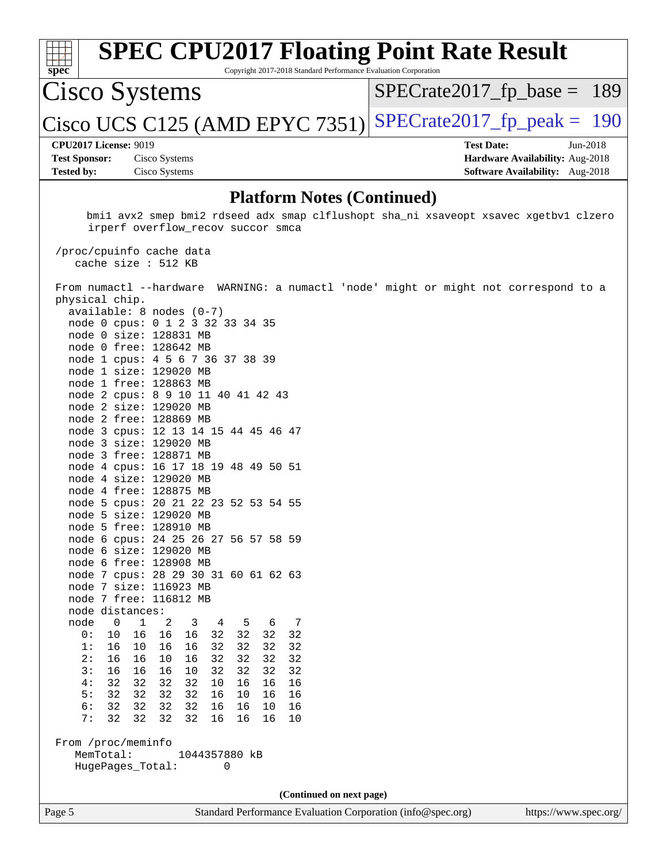|                                   | <b>SPEC CPU2017 Floating Point Rate Result</b>                                                                            |                                        |            |  |  |  |
|-----------------------------------|---------------------------------------------------------------------------------------------------------------------------|----------------------------------------|------------|--|--|--|
| spec                              | Copyright 2017-2018 Standard Performance Evaluation Corporation                                                           |                                        |            |  |  |  |
| Cisco Systems                     |                                                                                                                           | $SPECTate2017$ _fp_base = 189          |            |  |  |  |
|                                   | $ {\rm Cisco~UCS~C125}$ (AMD EPYC 7351) $ $                                                                               | $SPECrate2017fp peak = 190$            |            |  |  |  |
| <b>CPU2017 License: 9019</b>      |                                                                                                                           | <b>Test Date:</b>                      | $Jun-2018$ |  |  |  |
| <b>Test Sponsor:</b>              | Cisco Systems                                                                                                             | Hardware Availability: Aug-2018        |            |  |  |  |
| <b>Tested by:</b>                 | Cisco Systems                                                                                                             | <b>Software Availability:</b> Aug-2018 |            |  |  |  |
| <b>Platform Notes (Continued)</b> |                                                                                                                           |                                        |            |  |  |  |
|                                   | bmil avx2 smep bmi2 rdseed adx smap clflushopt sha ni xsaveopt xsavec xgetbvl clzero<br>irperf overflow_recov succor smca |                                        |            |  |  |  |
|                                   | /proc/cpuinfo cache data                                                                                                  |                                        |            |  |  |  |

 cache size : 512 KB From numactl --hardware WARNING: a numactl 'node' might or might not correspond to a physical chip. available: 8 nodes (0-7) node 0 cpus: 0 1 2 3 32 33 34 35 node 0 size: 128831 MB node 0 free: 128642 MB node 1 cpus: 4 5 6 7 36 37 38 39 node 1 size: 129020 MB node 1 free: 128863 MB node 2 cpus: 8 9 10 11 40 41 42 43 node 2 size: 129020 MB node 2 free: 128869 MB node 3 cpus: 12 13 14 15 44 45 46 47 node 3 size: 129020 MB node 3 free: 128871 MB node 4 cpus: 16 17 18 19 48 49 50 51 node 4 size: 129020 MB node 4 free: 128875 MB node 5 cpus: 20 21 22 23 52 53 54 55 node 5 size: 129020 MB node 5 free: 128910 MB node 6 cpus: 24 25 26 27 56 57 58 59 node 6 size: 129020 MB node 6 free: 128908 MB node 7 cpus: 28 29 30 31 60 61 62 63 node 7 size: 116923 MB node 7 free: 116812 MB node distances: node 0 1 2 3 4 5 6 7 0: 10 16 16 16 32 32 32 32

**(Continued on next page)**

 1: 16 10 16 16 32 32 32 32 2: 16 16 10 16 32 32 32 32 3: 16 16 16 10 32 32 32 32 4: 32 32 32 32 10 16 16 16 5: 32 32 32 32 16 10 16 16 6: 32 32 32 32 16 16 10 16 7: 32 32 32 32 16 16 16 10

 MemTotal: 1044357880 kB HugePages\_Total: 0

From /proc/meminfo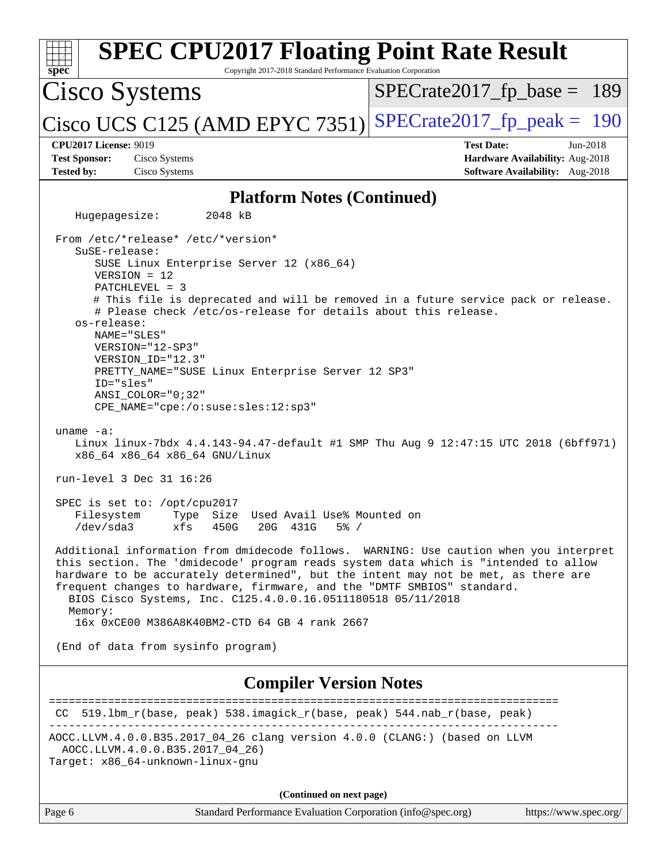| <b>SPEC CPU2017 Floating Point Rate Result</b><br>Copyright 2017-2018 Standard Performance Evaluation Corporation<br>$spec*$                                                                                                                                                                                                                                                                                                                                                                                                                                                                           |                                                                                                              |  |  |  |  |
|--------------------------------------------------------------------------------------------------------------------------------------------------------------------------------------------------------------------------------------------------------------------------------------------------------------------------------------------------------------------------------------------------------------------------------------------------------------------------------------------------------------------------------------------------------------------------------------------------------|--------------------------------------------------------------------------------------------------------------|--|--|--|--|
| Cisco Systems                                                                                                                                                                                                                                                                                                                                                                                                                                                                                                                                                                                          | $SPECrate2017_fp\_base = 189$                                                                                |  |  |  |  |
| Cisco UCS C125 (AMD EPYC 7351) SPECrate2017_fp_peak = $190$                                                                                                                                                                                                                                                                                                                                                                                                                                                                                                                                            |                                                                                                              |  |  |  |  |
| <b>CPU2017 License: 9019</b><br><b>Test Sponsor:</b><br>Cisco Systems                                                                                                                                                                                                                                                                                                                                                                                                                                                                                                                                  | <b>Test Date:</b><br>$Jun-2018$<br>Hardware Availability: Aug-2018<br><b>Software Availability:</b> Aug-2018 |  |  |  |  |
| <b>Tested by:</b><br>Cisco Systems                                                                                                                                                                                                                                                                                                                                                                                                                                                                                                                                                                     |                                                                                                              |  |  |  |  |
| <b>Platform Notes (Continued)</b>                                                                                                                                                                                                                                                                                                                                                                                                                                                                                                                                                                      |                                                                                                              |  |  |  |  |
| Hugepagesize:<br>2048 kB                                                                                                                                                                                                                                                                                                                                                                                                                                                                                                                                                                               |                                                                                                              |  |  |  |  |
| From /etc/*release* /etc/*version*<br>SuSE-release:<br>SUSE Linux Enterprise Server 12 (x86_64)<br>$VERSION = 12$<br>PATCHLEVEL = 3<br># This file is deprecated and will be removed in a future service pack or release.<br># Please check /etc/os-release for details about this release.<br>os-release:<br>NAME="SLES"<br>VERSION="12-SP3"<br>VERSION ID="12.3"<br>PRETTY_NAME="SUSE Linux Enterprise Server 12 SP3"<br>ID="sles"<br>ANSI_COLOR="0;32"<br>CPE_NAME="cpe:/o:suse:sles:12:sp3"<br>uname $-a$ :<br>Linux linux-7bdx 4.4.143-94.47-default #1 SMP Thu Aug 9 12:47:15 UTC 2018 (6bff971) |                                                                                                              |  |  |  |  |
| x86_64 x86_64 x86_64 GNU/Linux<br>run-level 3 Dec 31 16:26                                                                                                                                                                                                                                                                                                                                                                                                                                                                                                                                             |                                                                                                              |  |  |  |  |
| SPEC is set to: /opt/cpu2017<br>Filesystem<br>Type Size Used Avail Use% Mounted on<br>xfs 450G 20G 431G 5% /<br>/dev/sda3                                                                                                                                                                                                                                                                                                                                                                                                                                                                              |                                                                                                              |  |  |  |  |
| Additional information from dmidecode follows. WARNING: Use caution when you interpret<br>this section. The 'dmidecode' program reads system data which is "intended to allow<br>hardware to be accurately determined", but the intent may not be met, as there are<br>frequent changes to hardware, firmware, and the "DMTF SMBIOS" standard.<br>BIOS Cisco Systems, Inc. C125.4.0.0.16.0511180518 05/11/2018<br>Memory:                                                                                                                                                                              |                                                                                                              |  |  |  |  |
| 16x 0xCE00 M386A8K40BM2-CTD 64 GB 4 rank 2667                                                                                                                                                                                                                                                                                                                                                                                                                                                                                                                                                          |                                                                                                              |  |  |  |  |
| (End of data from sysinfo program)                                                                                                                                                                                                                                                                                                                                                                                                                                                                                                                                                                     |                                                                                                              |  |  |  |  |
| <b>Compiler Version Notes</b>                                                                                                                                                                                                                                                                                                                                                                                                                                                                                                                                                                          |                                                                                                              |  |  |  |  |
| 519.1bm_r(base, peak) 538.imagick_r(base, peak) 544.nab_r(base, peak)<br>CC.                                                                                                                                                                                                                                                                                                                                                                                                                                                                                                                           | -------------------------                                                                                    |  |  |  |  |
| AOCC.LLVM.4.0.0.B35.2017_04_26 clang version 4.0.0 (CLANG:) (based on LLVM<br>AOCC.LLVM.4.0.0.B35.2017_04_26)<br>Target: x86_64-unknown-linux-gnu                                                                                                                                                                                                                                                                                                                                                                                                                                                      |                                                                                                              |  |  |  |  |
| (Continued on next page)                                                                                                                                                                                                                                                                                                                                                                                                                                                                                                                                                                               |                                                                                                              |  |  |  |  |
| Standard Performance Evaluation Corporation (info@spec.org)<br>Page 6                                                                                                                                                                                                                                                                                                                                                                                                                                                                                                                                  | https://www.spec.org/                                                                                        |  |  |  |  |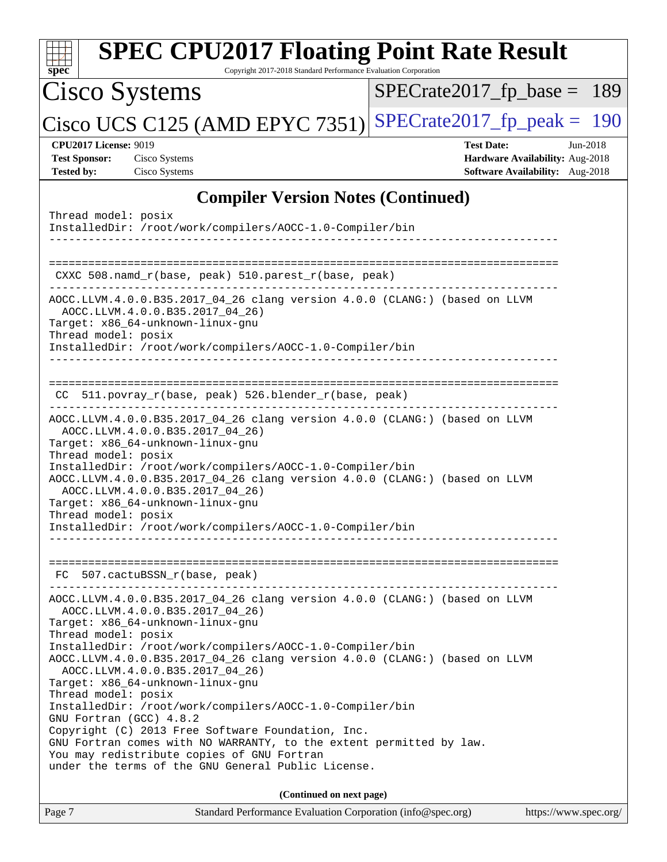| <b>SPEC CPU2017 Floating Point Rate Result</b><br>Copyright 2017-2018 Standard Performance Evaluation Corporation<br>$spec^*$                                                                                                                                                                                                                                                                                                                                                                                                                                                                                                                                                                                                           |                                                                                                     |
|-----------------------------------------------------------------------------------------------------------------------------------------------------------------------------------------------------------------------------------------------------------------------------------------------------------------------------------------------------------------------------------------------------------------------------------------------------------------------------------------------------------------------------------------------------------------------------------------------------------------------------------------------------------------------------------------------------------------------------------------|-----------------------------------------------------------------------------------------------------|
| Cisco Systems                                                                                                                                                                                                                                                                                                                                                                                                                                                                                                                                                                                                                                                                                                                           | $SPECTate2017_fp\_base = 189$                                                                       |
| Cisco UCS C125 (AMD EPYC 7351)                                                                                                                                                                                                                                                                                                                                                                                                                                                                                                                                                                                                                                                                                                          | $SPECTate2017$ _fp_peak = 190                                                                       |
| <b>CPU2017 License: 9019</b><br><b>Test Sponsor:</b><br>Cisco Systems<br>Cisco Systems<br><b>Tested by:</b>                                                                                                                                                                                                                                                                                                                                                                                                                                                                                                                                                                                                                             | <b>Test Date:</b><br>Jun-2018<br>Hardware Availability: Aug-2018<br>Software Availability: Aug-2018 |
| <b>Compiler Version Notes (Continued)</b>                                                                                                                                                                                                                                                                                                                                                                                                                                                                                                                                                                                                                                                                                               |                                                                                                     |
| Thread model: posix<br>InstalledDir: /root/work/compilers/AOCC-1.0-Compiler/bin                                                                                                                                                                                                                                                                                                                                                                                                                                                                                                                                                                                                                                                         |                                                                                                     |
| CXXC 508.namd_r(base, peak) 510.parest_r(base, peak)<br>--------------------------------                                                                                                                                                                                                                                                                                                                                                                                                                                                                                                                                                                                                                                                |                                                                                                     |
| AOCC.LLVM.4.0.0.B35.2017_04_26 clang version 4.0.0 (CLANG:) (based on LLVM<br>AOCC.LLVM.4.0.0.B35.2017_04_26)<br>Target: x86_64-unknown-linux-gnu<br>Thread model: posix<br>InstalledDir: /root/work/compilers/AOCC-1.0-Compiler/bin                                                                                                                                                                                                                                                                                                                                                                                                                                                                                                    |                                                                                                     |
| CC 511.povray_r(base, peak) 526.blender_r(base, peak)                                                                                                                                                                                                                                                                                                                                                                                                                                                                                                                                                                                                                                                                                   |                                                                                                     |
| AOCC.LLVM.4.0.0.B35.2017_04_26 clang version 4.0.0 (CLANG:) (based on LLVM<br>AOCC.LLVM.4.0.0.B35.2017_04_26)<br>Target: x86_64-unknown-linux-gnu<br>Thread model: posix<br>InstalledDir: /root/work/compilers/AOCC-1.0-Compiler/bin<br>AOCC.LLVM.4.0.0.B35.2017_04_26 clang version 4.0.0 (CLANG:) (based on LLVM<br>AOCC.LLVM.4.0.0.B35.2017_04_26)<br>Target: x86_64-unknown-linux-gnu<br>Thread model: posix<br>InstalledDir: /root/work/compilers/AOCC-1.0-Compiler/bin                                                                                                                                                                                                                                                            |                                                                                                     |
| FC 507.cactuBSSN_r(base, peak)<br>___________________________                                                                                                                                                                                                                                                                                                                                                                                                                                                                                                                                                                                                                                                                           |                                                                                                     |
| AOCC.LLVM.4.0.0.B35.2017_04_26 clang version 4.0.0 (CLANG:) (based on LLVM<br>AOCC.LLVM.4.0.0.B35.2017 04 26)<br>Target: x86 64-unknown-linux-qnu<br>Thread model: posix<br>InstalledDir: /root/work/compilers/AOCC-1.0-Compiler/bin<br>AOCC.LLVM.4.0.0.B35.2017_04_26 clang version 4.0.0 (CLANG:) (based on LLVM<br>AOCC.LLVM.4.0.0.B35.2017_04_26)<br>Target: x86_64-unknown-linux-gnu<br>Thread model: posix<br>InstalledDir: /root/work/compilers/AOCC-1.0-Compiler/bin<br>GNU Fortran (GCC) 4.8.2<br>Copyright (C) 2013 Free Software Foundation, Inc.<br>GNU Fortran comes with NO WARRANTY, to the extent permitted by law.<br>You may redistribute copies of GNU Fortran<br>under the terms of the GNU General Public License. |                                                                                                     |
| (Continued on next page)                                                                                                                                                                                                                                                                                                                                                                                                                                                                                                                                                                                                                                                                                                                |                                                                                                     |
| Standard Performance Evaluation Corporation (info@spec.org)<br>Page 7                                                                                                                                                                                                                                                                                                                                                                                                                                                                                                                                                                                                                                                                   | https://www.spec.org/                                                                               |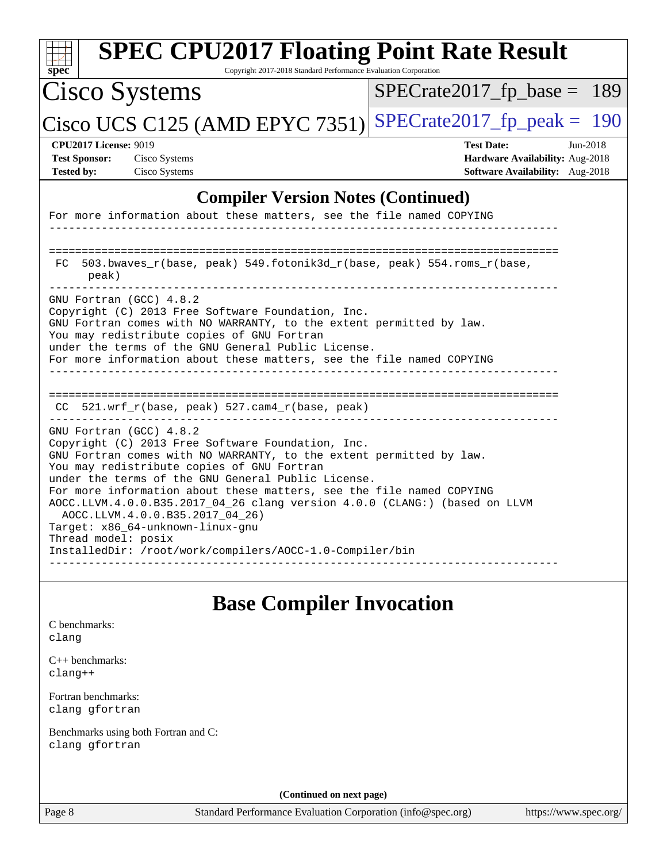| <b>SPEC CPU2017 Floating Point Rate Result</b><br>Copyright 2017-2018 Standard Performance Evaluation Corporation<br>$spec^*$                                                                                                                                                                                                                                                                                                                                                                                                                                           |                                                                                                       |
|-------------------------------------------------------------------------------------------------------------------------------------------------------------------------------------------------------------------------------------------------------------------------------------------------------------------------------------------------------------------------------------------------------------------------------------------------------------------------------------------------------------------------------------------------------------------------|-------------------------------------------------------------------------------------------------------|
| <b>Cisco Systems</b>                                                                                                                                                                                                                                                                                                                                                                                                                                                                                                                                                    | $SPECrate2017_fp\_base = 189$                                                                         |
| Cisco UCS C125 (AMD EPYC 7351)                                                                                                                                                                                                                                                                                                                                                                                                                                                                                                                                          | $SPECTate2017$ _fp_peak = 190                                                                         |
| <b>CPU2017 License: 9019</b><br><b>Test Sponsor:</b><br>Cisco Systems<br><b>Tested by:</b><br>Cisco Systems                                                                                                                                                                                                                                                                                                                                                                                                                                                             | <b>Test Date:</b><br>$Jun-2018$<br>Hardware Availability: Aug-2018<br>Software Availability: Aug-2018 |
| <b>Compiler Version Notes (Continued)</b>                                                                                                                                                                                                                                                                                                                                                                                                                                                                                                                               |                                                                                                       |
| For more information about these matters, see the file named COPYING                                                                                                                                                                                                                                                                                                                                                                                                                                                                                                    |                                                                                                       |
| 503.bwaves_r(base, peak) 549.fotonik3d_r(base, peak) 554.roms_r(base,<br>FC.<br>peak)                                                                                                                                                                                                                                                                                                                                                                                                                                                                                   |                                                                                                       |
| GNU Fortran (GCC) 4.8.2<br>Copyright (C) 2013 Free Software Foundation, Inc.<br>GNU Fortran comes with NO WARRANTY, to the extent permitted by law.<br>You may redistribute copies of GNU Fortran<br>under the terms of the GNU General Public License.<br>For more information about these matters, see the file named COPYING                                                                                                                                                                                                                                         |                                                                                                       |
| CC 521.wrf_r(base, peak) 527.cam4_r(base, peak)                                                                                                                                                                                                                                                                                                                                                                                                                                                                                                                         |                                                                                                       |
| GNU Fortran (GCC) 4.8.2<br>Copyright (C) 2013 Free Software Foundation, Inc.<br>GNU Fortran comes with NO WARRANTY, to the extent permitted by law.<br>You may redistribute copies of GNU Fortran<br>under the terms of the GNU General Public License.<br>For more information about these matters, see the file named COPYING<br>AOCC.LLVM.4.0.0.B35.2017_04_26 clang version 4.0.0 (CLANG:) (based on LLVM<br>AOCC.LLVM.4.0.0.B35.2017_04_26)<br>Target: x86_64-unknown-linux-gnu<br>Thread model: posix<br>InstalledDir: /root/work/compilers/AOCC-1.0-Compiler/bin |                                                                                                       |
| <b>Base Compiler Invocation</b><br>C benchmarks:<br>clang                                                                                                                                                                                                                                                                                                                                                                                                                                                                                                               |                                                                                                       |
| $C_{++}$ benchmarks:<br>clang++                                                                                                                                                                                                                                                                                                                                                                                                                                                                                                                                         |                                                                                                       |
| Fortran benchmarks:<br>clang gfortran                                                                                                                                                                                                                                                                                                                                                                                                                                                                                                                                   |                                                                                                       |
| Benchmarks using both Fortran and C:<br>clang gfortran                                                                                                                                                                                                                                                                                                                                                                                                                                                                                                                  |                                                                                                       |
| (Continued on next page)                                                                                                                                                                                                                                                                                                                                                                                                                                                                                                                                                |                                                                                                       |

Page 8 Standard Performance Evaluation Corporation [\(info@spec.org\)](mailto:info@spec.org) <https://www.spec.org/>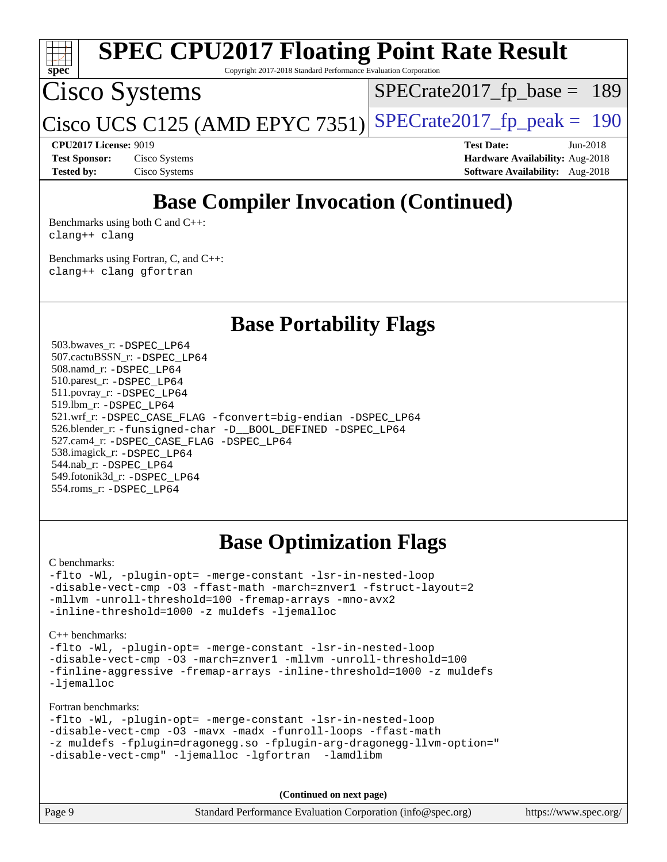

## **[Base Compiler Invocation \(Continued\)](http://www.spec.org/auto/cpu2017/Docs/result-fields.html#BaseCompilerInvocation)**

[Benchmarks using both C and C++](http://www.spec.org/auto/cpu2017/Docs/result-fields.html#BenchmarksusingbothCandCXX): [clang++](http://www.spec.org/cpu2017/results/res2018q4/cpu2017-20180918-08913.flags.html#user_CC_CXXbase_Fclang3_57a48582e5be507d19b2527b3e7d4f85d9b8669ffc9a8a0dbb9bcf949a918a58bbab411e0c4d14a3922022a3e425a90db94042683824c1806feff4324ca1000d) [clang](http://www.spec.org/cpu2017/results/res2018q4/cpu2017-20180918-08913.flags.html#user_CC_CXXbase_Fclang3)

[Benchmarks using Fortran, C, and C++:](http://www.spec.org/auto/cpu2017/Docs/result-fields.html#BenchmarksusingFortranCandCXX) [clang++](http://www.spec.org/cpu2017/results/res2018q4/cpu2017-20180918-08913.flags.html#user_CC_CXX_FCbase_Fclang3_57a48582e5be507d19b2527b3e7d4f85d9b8669ffc9a8a0dbb9bcf949a918a58bbab411e0c4d14a3922022a3e425a90db94042683824c1806feff4324ca1000d) [clang](http://www.spec.org/cpu2017/results/res2018q4/cpu2017-20180918-08913.flags.html#user_CC_CXX_FCbase_Fclang3) [gfortran](http://www.spec.org/cpu2017/results/res2018q4/cpu2017-20180918-08913.flags.html#user_CC_CXX_FCbase_Fgfortran_128c91a56d61ddb07404721e65b8f9498c31a443dacbd3b7f212891090eca86e2d099b520f75b99e9e8ac4fdec01f4d15f0b65e47123ec4c42b0759045731a1f)

**[Base Portability Flags](http://www.spec.org/auto/cpu2017/Docs/result-fields.html#BasePortabilityFlags)**

 503.bwaves\_r: [-DSPEC\\_LP64](http://www.spec.org/cpu2017/results/res2018q4/cpu2017-20180918-08913.flags.html#suite_baseEXTRA_PORTABILITY503_bwaves_r_DSPEC_LP64) 507.cactuBSSN\_r: [-DSPEC\\_LP64](http://www.spec.org/cpu2017/results/res2018q4/cpu2017-20180918-08913.flags.html#suite_baseEXTRA_PORTABILITY507_cactuBSSN_r_DSPEC_LP64) 508.namd\_r: [-DSPEC\\_LP64](http://www.spec.org/cpu2017/results/res2018q4/cpu2017-20180918-08913.flags.html#suite_baseEXTRA_PORTABILITY508_namd_r_DSPEC_LP64) 510.parest\_r: [-DSPEC\\_LP64](http://www.spec.org/cpu2017/results/res2018q4/cpu2017-20180918-08913.flags.html#suite_baseEXTRA_PORTABILITY510_parest_r_DSPEC_LP64) 511.povray\_r: [-DSPEC\\_LP64](http://www.spec.org/cpu2017/results/res2018q4/cpu2017-20180918-08913.flags.html#suite_baseEXTRA_PORTABILITY511_povray_r_DSPEC_LP64) 519.lbm\_r: [-DSPEC\\_LP64](http://www.spec.org/cpu2017/results/res2018q4/cpu2017-20180918-08913.flags.html#suite_baseEXTRA_PORTABILITY519_lbm_r_DSPEC_LP64) 521.wrf\_r: [-DSPEC\\_CASE\\_FLAG](http://www.spec.org/cpu2017/results/res2018q4/cpu2017-20180918-08913.flags.html#b521.wrf_r_baseCPORTABILITY_DSPEC_CASE_FLAG) [-fconvert=big-endian](http://www.spec.org/cpu2017/results/res2018q4/cpu2017-20180918-08913.flags.html#user_baseFPORTABILITY521_wrf_r_F-fconvert) [-DSPEC\\_LP64](http://www.spec.org/cpu2017/results/res2018q4/cpu2017-20180918-08913.flags.html#suite_baseEXTRA_PORTABILITY521_wrf_r_DSPEC_LP64) 526.blender\_r: [-funsigned-char](http://www.spec.org/cpu2017/results/res2018q4/cpu2017-20180918-08913.flags.html#user_baseCPORTABILITY526_blender_r_F-funsigned-char) [-D\\_\\_BOOL\\_DEFINED](http://www.spec.org/cpu2017/results/res2018q4/cpu2017-20180918-08913.flags.html#b526.blender_r_baseCXXPORTABILITY_D__BOOL_DEFINED) [-DSPEC\\_LP64](http://www.spec.org/cpu2017/results/res2018q4/cpu2017-20180918-08913.flags.html#suite_baseEXTRA_PORTABILITY526_blender_r_DSPEC_LP64) 527.cam4\_r: [-DSPEC\\_CASE\\_FLAG](http://www.spec.org/cpu2017/results/res2018q4/cpu2017-20180918-08913.flags.html#b527.cam4_r_basePORTABILITY_DSPEC_CASE_FLAG) [-DSPEC\\_LP64](http://www.spec.org/cpu2017/results/res2018q4/cpu2017-20180918-08913.flags.html#suite_baseEXTRA_PORTABILITY527_cam4_r_DSPEC_LP64) 538.imagick\_r: [-DSPEC\\_LP64](http://www.spec.org/cpu2017/results/res2018q4/cpu2017-20180918-08913.flags.html#suite_baseEXTRA_PORTABILITY538_imagick_r_DSPEC_LP64) 544.nab\_r: [-DSPEC\\_LP64](http://www.spec.org/cpu2017/results/res2018q4/cpu2017-20180918-08913.flags.html#suite_baseEXTRA_PORTABILITY544_nab_r_DSPEC_LP64) 549.fotonik3d\_r: [-DSPEC\\_LP64](http://www.spec.org/cpu2017/results/res2018q4/cpu2017-20180918-08913.flags.html#suite_baseEXTRA_PORTABILITY549_fotonik3d_r_DSPEC_LP64) 554.roms\_r: [-DSPEC\\_LP64](http://www.spec.org/cpu2017/results/res2018q4/cpu2017-20180918-08913.flags.html#suite_baseEXTRA_PORTABILITY554_roms_r_DSPEC_LP64)

### **[Base Optimization Flags](http://www.spec.org/auto/cpu2017/Docs/result-fields.html#BaseOptimizationFlags)**

[C benchmarks](http://www.spec.org/auto/cpu2017/Docs/result-fields.html#Cbenchmarks):

[-flto](http://www.spec.org/cpu2017/results/res2018q4/cpu2017-20180918-08913.flags.html#user_CCbase_F-flto) [-Wl,](http://www.spec.org/cpu2017/results/res2018q4/cpu2017-20180918-08913.flags.html#user_CCbase_F-Wl_5f669859b7c1a0295edc4f5fd536c381023f180a987810cb5cfa1d9467a27ac14b13770b9732d7618b24fc778f3dfdf68b65521d505fc870281e0142944925a0) [-plugin-opt=](http://www.spec.org/cpu2017/results/res2018q4/cpu2017-20180918-08913.flags.html#user_CCbase_F-plugin-opt_772899571bb6157e4b8feeb3276e6c06dec41c1bbb0aa637c8700742a4baaf7e7b56061e32ae2365a76a44d8c448177ca3ee066cdf7537598ff772fc461942c2) [-merge-constant](http://www.spec.org/cpu2017/results/res2018q4/cpu2017-20180918-08913.flags.html#user_CCbase_F-merge-constant_bdb3ec75d21d5cf0ab1961ebe7105d0ea3b0c6d89a312cf7efc1d107e6c56c92c36b5d564d0702d1e2526f6b92f188b4413eb5a54b1f9e4a41f5a9bfc0233b92) [-lsr-in-nested-loop](http://www.spec.org/cpu2017/results/res2018q4/cpu2017-20180918-08913.flags.html#user_CCbase_F-lsr-in-nested-loop) [-disable-vect-cmp](http://www.spec.org/cpu2017/results/res2018q4/cpu2017-20180918-08913.flags.html#user_CCbase_F-disable-vect-cmp) [-O3](http://www.spec.org/cpu2017/results/res2018q4/cpu2017-20180918-08913.flags.html#user_CCbase_F-O3) [-ffast-math](http://www.spec.org/cpu2017/results/res2018q4/cpu2017-20180918-08913.flags.html#user_CCbase_F-aocc-ffast-math_78dd175de6534c2005829757b9b0f2878e57b067cce6f7c443b2250ac68890960e2e1b320ca04b81ff7c62c6f87870ed05f06baf7875eea2990d38e3b73c71f1) [-march=znver1](http://www.spec.org/cpu2017/results/res2018q4/cpu2017-20180918-08913.flags.html#user_CCbase_F-march) [-fstruct-layout=2](http://www.spec.org/cpu2017/results/res2018q4/cpu2017-20180918-08913.flags.html#user_CCbase_F-fstruct-layout_a05ec02e17cdf7fe0c3950a6b005251b2b1e5e67af2b5298cf72714730c3d59ba290e75546b10aa22dac074c15ceaca36ae22c62cb51bcb2fbdc9dc4e7e222c4) [-mllvm](http://www.spec.org/cpu2017/results/res2018q4/cpu2017-20180918-08913.flags.html#user_CCbase_F-mllvm_76e3f86ef8d8cc4dfa84cec42d531db351fee284f72cd5d644b5bdbef9c2604296512be6a431d9e19d0523544399ea9dd745afc2fff755a0705d428460dc659e) [-unroll-threshold=100](http://www.spec.org/cpu2017/results/res2018q4/cpu2017-20180918-08913.flags.html#user_CCbase_F-unroll-threshold) [-fremap-arrays](http://www.spec.org/cpu2017/results/res2018q4/cpu2017-20180918-08913.flags.html#user_CCbase_F-fremap-arrays) [-mno-avx2](http://www.spec.org/cpu2017/results/res2018q4/cpu2017-20180918-08913.flags.html#user_CCbase_F-mno-avx2) [-inline-threshold=1000](http://www.spec.org/cpu2017/results/res2018q4/cpu2017-20180918-08913.flags.html#user_CCbase_F-inline-threshold_1daf3e0321a7a0c1ea19068c818f3f119b1e5dfc986cc791557791f4b93536c1546ba0c8585f62303269f504aa232e0ca278e8489928152e32e0752215741730) [-z muldefs](http://www.spec.org/cpu2017/results/res2018q4/cpu2017-20180918-08913.flags.html#user_CCbase_F-z) [-ljemalloc](http://www.spec.org/cpu2017/results/res2018q4/cpu2017-20180918-08913.flags.html#user_CCbase_F-ljemalloc)

[C++ benchmarks:](http://www.spec.org/auto/cpu2017/Docs/result-fields.html#CXXbenchmarks)

[-flto](http://www.spec.org/cpu2017/results/res2018q4/cpu2017-20180918-08913.flags.html#user_CXXbase_F-flto) [-Wl,](http://www.spec.org/cpu2017/results/res2018q4/cpu2017-20180918-08913.flags.html#user_CXXbase_F-Wl_5f669859b7c1a0295edc4f5fd536c381023f180a987810cb5cfa1d9467a27ac14b13770b9732d7618b24fc778f3dfdf68b65521d505fc870281e0142944925a0) [-plugin-opt=](http://www.spec.org/cpu2017/results/res2018q4/cpu2017-20180918-08913.flags.html#user_CXXbase_F-plugin-opt_772899571bb6157e4b8feeb3276e6c06dec41c1bbb0aa637c8700742a4baaf7e7b56061e32ae2365a76a44d8c448177ca3ee066cdf7537598ff772fc461942c2) [-merge-constant](http://www.spec.org/cpu2017/results/res2018q4/cpu2017-20180918-08913.flags.html#user_CXXbase_F-merge-constant_bdb3ec75d21d5cf0ab1961ebe7105d0ea3b0c6d89a312cf7efc1d107e6c56c92c36b5d564d0702d1e2526f6b92f188b4413eb5a54b1f9e4a41f5a9bfc0233b92) [-lsr-in-nested-loop](http://www.spec.org/cpu2017/results/res2018q4/cpu2017-20180918-08913.flags.html#user_CXXbase_F-lsr-in-nested-loop) [-disable-vect-cmp](http://www.spec.org/cpu2017/results/res2018q4/cpu2017-20180918-08913.flags.html#user_CXXbase_F-disable-vect-cmp) [-O3](http://www.spec.org/cpu2017/results/res2018q4/cpu2017-20180918-08913.flags.html#user_CXXbase_F-O3) [-march=znver1](http://www.spec.org/cpu2017/results/res2018q4/cpu2017-20180918-08913.flags.html#user_CXXbase_F-march) [-mllvm](http://www.spec.org/cpu2017/results/res2018q4/cpu2017-20180918-08913.flags.html#user_CXXbase_F-mllvm_76e3f86ef8d8cc4dfa84cec42d531db351fee284f72cd5d644b5bdbef9c2604296512be6a431d9e19d0523544399ea9dd745afc2fff755a0705d428460dc659e) [-unroll-threshold=100](http://www.spec.org/cpu2017/results/res2018q4/cpu2017-20180918-08913.flags.html#user_CXXbase_F-unroll-threshold) [-finline-aggressive](http://www.spec.org/cpu2017/results/res2018q4/cpu2017-20180918-08913.flags.html#user_CXXbase_F-finline-aggressive) [-fremap-arrays](http://www.spec.org/cpu2017/results/res2018q4/cpu2017-20180918-08913.flags.html#user_CXXbase_F-fremap-arrays) [-inline-threshold=1000](http://www.spec.org/cpu2017/results/res2018q4/cpu2017-20180918-08913.flags.html#user_CXXbase_F-inline-threshold_1daf3e0321a7a0c1ea19068c818f3f119b1e5dfc986cc791557791f4b93536c1546ba0c8585f62303269f504aa232e0ca278e8489928152e32e0752215741730) [-z muldefs](http://www.spec.org/cpu2017/results/res2018q4/cpu2017-20180918-08913.flags.html#user_CXXbase_F-z) [-ljemalloc](http://www.spec.org/cpu2017/results/res2018q4/cpu2017-20180918-08913.flags.html#user_CXXbase_F-ljemalloc)

[Fortran benchmarks](http://www.spec.org/auto/cpu2017/Docs/result-fields.html#Fortranbenchmarks):

```
-flto -Wl, -plugin-opt= -merge-constant -lsr-in-nested-loop
-disable-vect-cmp -O3 -mavx -madx -funroll-loops -ffast-math
-z muldefs -fplugin=dragonegg.so -fplugin-arg-dragonegg-llvm-option="
-disable-vect-cmp" -ljemalloc -lgfortran -lamdlibm
```
**(Continued on next page)**

| Page 9 | Standard Performance Evaluation Corporation (info@spec.org) | https://www.spec.org/ |
|--------|-------------------------------------------------------------|-----------------------|
|--------|-------------------------------------------------------------|-----------------------|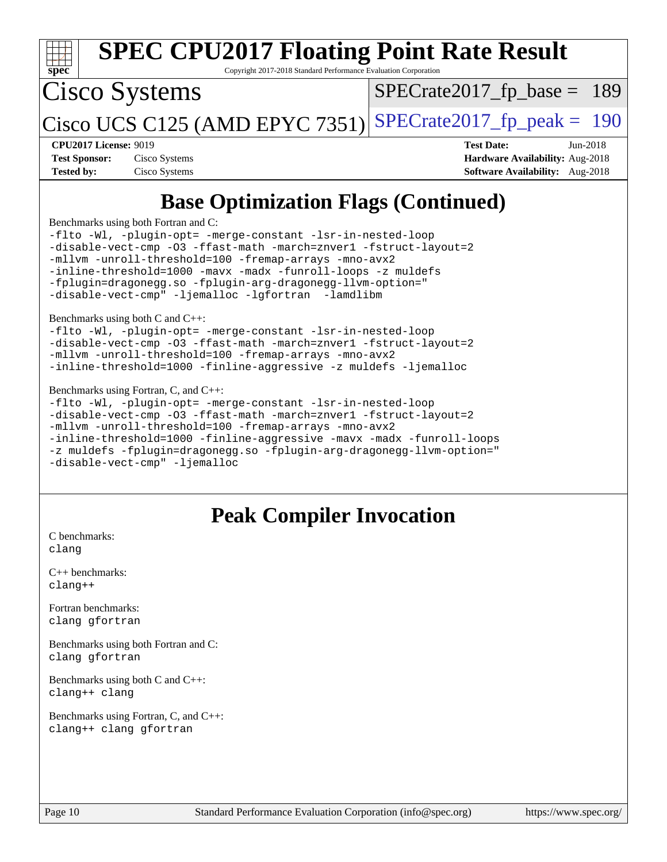| <b>SPEC CPU2017 Floating Point Rate Result</b><br>Copyright 2017-2018 Standard Performance Evaluation Corporation<br>spec                                                                                                                                                                                                                                                                                                                                                                                                                                                                                                                                                                                                  |                                                                                                            |  |  |  |  |  |
|----------------------------------------------------------------------------------------------------------------------------------------------------------------------------------------------------------------------------------------------------------------------------------------------------------------------------------------------------------------------------------------------------------------------------------------------------------------------------------------------------------------------------------------------------------------------------------------------------------------------------------------------------------------------------------------------------------------------------|------------------------------------------------------------------------------------------------------------|--|--|--|--|--|
| Cisco Systems<br>$SPECrate2017fp base =$<br>189                                                                                                                                                                                                                                                                                                                                                                                                                                                                                                                                                                                                                                                                            |                                                                                                            |  |  |  |  |  |
| $ Cisco UCS C125$ (AMD EPYC 7351)                                                                                                                                                                                                                                                                                                                                                                                                                                                                                                                                                                                                                                                                                          | $SPECTate2017$ _fp_peak = 190                                                                              |  |  |  |  |  |
| <b>CPU2017 License: 9019</b><br><b>Test Sponsor:</b><br>Cisco Systems<br><b>Tested by:</b><br>Cisco Systems                                                                                                                                                                                                                                                                                                                                                                                                                                                                                                                                                                                                                | <b>Test Date:</b><br>Jun-2018<br>Hardware Availability: Aug-2018<br><b>Software Availability:</b> Aug-2018 |  |  |  |  |  |
| <b>Base Optimization Flags (Continued)</b>                                                                                                                                                                                                                                                                                                                                                                                                                                                                                                                                                                                                                                                                                 |                                                                                                            |  |  |  |  |  |
| Benchmarks using both Fortran and C:<br>-flto -Wl, -plugin-opt= -merge-constant -lsr-in-nested-loop<br>-disable-vect-cmp -03 -ffast-math -march=znver1 -fstruct-layout=2<br>-mllvm -unroll-threshold=100 -fremap-arrays -mno-avx2<br>-inline-threshold=1000 -mavx -madx -funroll-loops -z muldefs<br>-fplugin=dragonegg.so -fplugin-arg-dragonegg-llvm-option="<br>-disable-vect-cmp" -ljemalloc -lgfortran -lamdlibm<br>Benchmarks using both C and C++:<br>-flto -Wl, -plugin-opt= -merge-constant -lsr-in-nested-loop<br>-disable-vect-cmp -03 -ffast-math -march=znver1 -fstruct-layout=2<br>-mllvm -unroll-threshold=100 -fremap-arrays -mno-avx2<br>-inline-threshold=1000 -finline-aggressive -z muldefs -ljemalloc |                                                                                                            |  |  |  |  |  |
| Benchmarks using Fortran, C, and C++:<br>-flto -Wl, -plugin-opt= -merge-constant -lsr-in-nested-loop<br>-disable-vect-cmp -03 -ffast-math -march=znver1 -fstruct-layout=2<br>-mllvm -unroll-threshold=100 -fremap-arrays -mno-avx2<br>-inline-threshold=1000 -finline-aggressive -mavx -madx -funroll-loops<br>-z muldefs -fplugin=dragonegg.so -fplugin-arg-dragonegg-llvm-option="<br>-disable-vect-cmp" -ljemalloc                                                                                                                                                                                                                                                                                                      |                                                                                                            |  |  |  |  |  |

# **[Peak Compiler Invocation](http://www.spec.org/auto/cpu2017/Docs/result-fields.html#PeakCompilerInvocation)**

[C benchmarks](http://www.spec.org/auto/cpu2017/Docs/result-fields.html#Cbenchmarks): [clang](http://www.spec.org/cpu2017/results/res2018q4/cpu2017-20180918-08913.flags.html#user_CCpeak_Fclang3)

[C++ benchmarks:](http://www.spec.org/auto/cpu2017/Docs/result-fields.html#CXXbenchmarks) [clang++](http://www.spec.org/cpu2017/results/res2018q4/cpu2017-20180918-08913.flags.html#user_CXXpeak_Fclang3_57a48582e5be507d19b2527b3e7d4f85d9b8669ffc9a8a0dbb9bcf949a918a58bbab411e0c4d14a3922022a3e425a90db94042683824c1806feff4324ca1000d)

[Fortran benchmarks](http://www.spec.org/auto/cpu2017/Docs/result-fields.html#Fortranbenchmarks): [clang](http://www.spec.org/cpu2017/results/res2018q4/cpu2017-20180918-08913.flags.html#user_FCpeak_Fclang3) [gfortran](http://www.spec.org/cpu2017/results/res2018q4/cpu2017-20180918-08913.flags.html#user_FCpeak_Fgfortran_128c91a56d61ddb07404721e65b8f9498c31a443dacbd3b7f212891090eca86e2d099b520f75b99e9e8ac4fdec01f4d15f0b65e47123ec4c42b0759045731a1f)

[Benchmarks using both Fortran and C](http://www.spec.org/auto/cpu2017/Docs/result-fields.html#BenchmarksusingbothFortranandC): [clang](http://www.spec.org/cpu2017/results/res2018q4/cpu2017-20180918-08913.flags.html#user_CC_FCpeak_Fclang3) [gfortran](http://www.spec.org/cpu2017/results/res2018q4/cpu2017-20180918-08913.flags.html#user_CC_FCpeak_Fgfortran_128c91a56d61ddb07404721e65b8f9498c31a443dacbd3b7f212891090eca86e2d099b520f75b99e9e8ac4fdec01f4d15f0b65e47123ec4c42b0759045731a1f)

[Benchmarks using both C and C++](http://www.spec.org/auto/cpu2017/Docs/result-fields.html#BenchmarksusingbothCandCXX): [clang++](http://www.spec.org/cpu2017/results/res2018q4/cpu2017-20180918-08913.flags.html#user_CC_CXXpeak_Fclang3_57a48582e5be507d19b2527b3e7d4f85d9b8669ffc9a8a0dbb9bcf949a918a58bbab411e0c4d14a3922022a3e425a90db94042683824c1806feff4324ca1000d) [clang](http://www.spec.org/cpu2017/results/res2018q4/cpu2017-20180918-08913.flags.html#user_CC_CXXpeak_Fclang3)

[Benchmarks using Fortran, C, and C++:](http://www.spec.org/auto/cpu2017/Docs/result-fields.html#BenchmarksusingFortranCandCXX) [clang++](http://www.spec.org/cpu2017/results/res2018q4/cpu2017-20180918-08913.flags.html#user_CC_CXX_FCpeak_Fclang3_57a48582e5be507d19b2527b3e7d4f85d9b8669ffc9a8a0dbb9bcf949a918a58bbab411e0c4d14a3922022a3e425a90db94042683824c1806feff4324ca1000d) [clang](http://www.spec.org/cpu2017/results/res2018q4/cpu2017-20180918-08913.flags.html#user_CC_CXX_FCpeak_Fclang3) [gfortran](http://www.spec.org/cpu2017/results/res2018q4/cpu2017-20180918-08913.flags.html#user_CC_CXX_FCpeak_Fgfortran_128c91a56d61ddb07404721e65b8f9498c31a443dacbd3b7f212891090eca86e2d099b520f75b99e9e8ac4fdec01f4d15f0b65e47123ec4c42b0759045731a1f)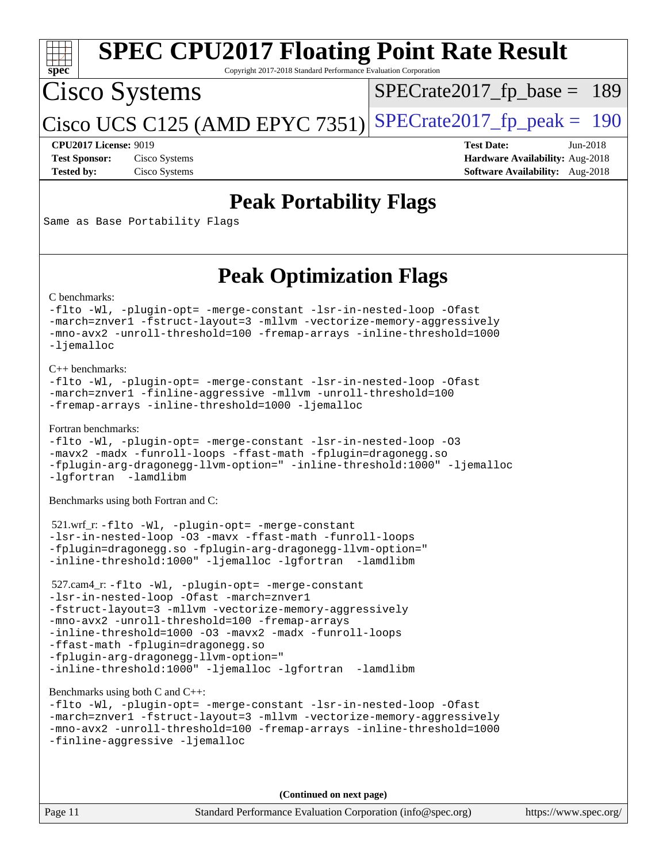